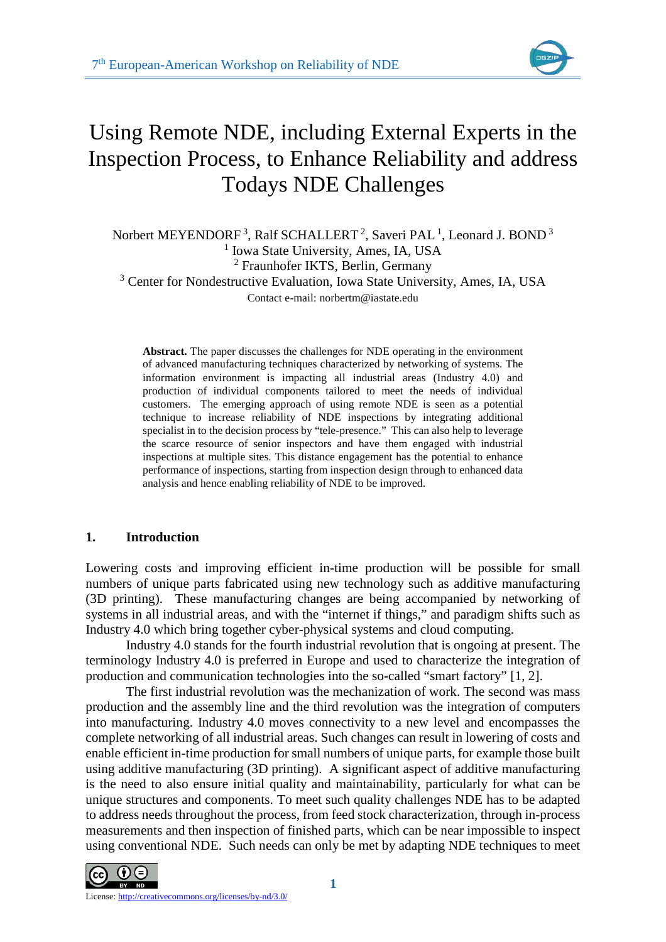

# Using Remote NDE, including External Experts in the Inspection Process, to Enhance Reliability and address Todays NDE Challenges

Norbert MEYENDORF<sup>3</sup>, Ralf SCHALLERT<sup>2</sup>, Saveri PAL<sup>1</sup>, Leonard J. BOND<sup>3</sup> <sup>1</sup> Iowa State University, Ames, IA, USA <sup>2</sup> Fraunhofer IKTS, Berlin, Germany <sup>3</sup> Center for Nondestructive Evaluation, Iowa State University, Ames, IA, USA Contact e-mail: norbertm@iastate.edu

**Abstract.** The paper discusses the challenges for NDE operating in the environment of advanced manufacturing techniques characterized by networking of systems. The information environment is impacting all industrial areas (Industry 4.0) and production of individual components tailored to meet the needs of individual customers. The emerging approach of using remote NDE is seen as a potential technique to increase reliability of NDE inspections by integrating additional specialist in to the decision process by "tele-presence." This can also help to leverage the scarce resource of senior inspectors and have them engaged with industrial inspections at multiple sites. This distance engagement has the potential to enhance performance of inspections, starting from inspection design through to enhanced data analysis and hence enabling reliability of NDE to be improved.

# **1. Introduction**

Lowering costs and improving efficient in-time production will be possible for small numbers of unique parts fabricated using new technology such as additive manufacturing (3D printing). These manufacturing changes are being accompanied by networking of systems in all industrial areas, and with the "internet if things," and paradigm shifts such as Industry 4.0 which bring together cyber-physical systems and cloud computing.

Industry 4.0 stands for the fourth industrial revolution that is ongoing at present. The terminology Industry 4.0 is preferred in Europe and used to characterize the integration of production and communication technologies into the so-called "smart factory" [1, 2].

The first industrial revolution was the mechanization of work. The second was mass production and the assembly line and the third revolution was the integration of computers into manufacturing. Industry 4.0 moves connectivity to a new level and encompasses the complete networking of all industrial areas. Such changes can result in lowering of costs and enable efficient in-time production for small numbers of unique parts, for example those built using additive manufacturing (3D printing). A significant aspect of additive manufacturing is the need to also ensure initial quality and maintainability, particularly for what can be unique structures and components. To meet such quality challenges NDE has to be adapted to address needs throughout the process, from feed stock characterization, through in-process measurements and then inspection of finished parts, which can be near impossible to inspect using conventional NDE. Such needs can only be met by adapting NDE techniques to meet

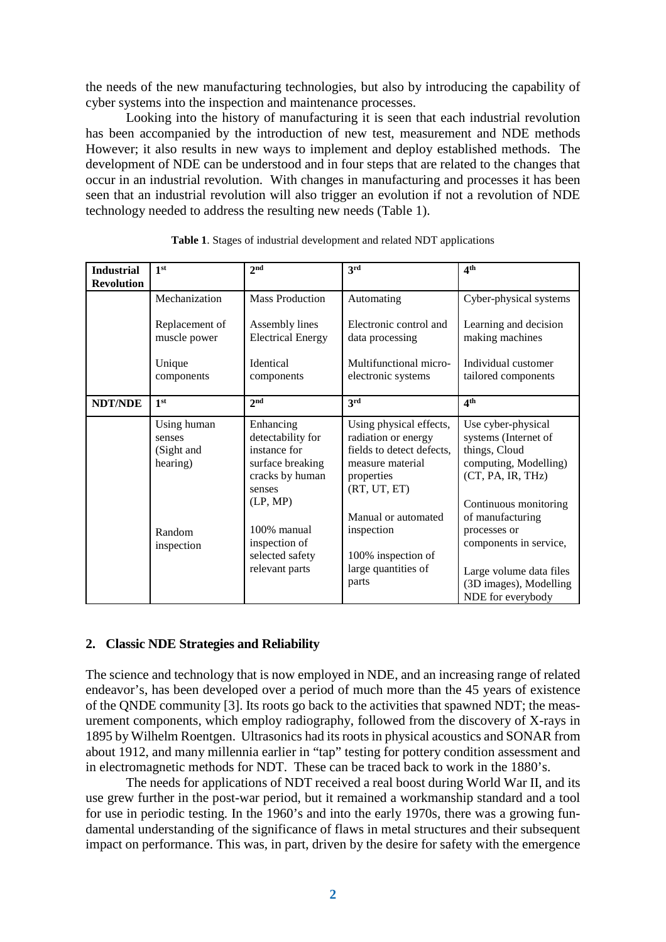the needs of the new manufacturing technologies, but also by introducing the capability of cyber systems into the inspection and maintenance processes.

Looking into the history of manufacturing it is seen that each industrial revolution has been accompanied by the introduction of new test, measurement and NDE methods However; it also results in new ways to implement and deploy established methods. The development of NDE can be understood and in four steps that are related to the changes that occur in an industrial revolution. With changes in manufacturing and processes it has been seen that an industrial revolution will also trigger an evolution if not a revolution of NDE technology needed to address the resulting new needs (Table 1).

| <b>Industrial</b> | 1 <sup>st</sup>                                                         | 2 <sup>nd</sup>                                                                                                                                                                  | 3rd                                                                                                                                                                                                                      | 4 <sup>th</sup>                                                                                                                                                                                                                                                            |
|-------------------|-------------------------------------------------------------------------|----------------------------------------------------------------------------------------------------------------------------------------------------------------------------------|--------------------------------------------------------------------------------------------------------------------------------------------------------------------------------------------------------------------------|----------------------------------------------------------------------------------------------------------------------------------------------------------------------------------------------------------------------------------------------------------------------------|
| <b>Revolution</b> |                                                                         |                                                                                                                                                                                  |                                                                                                                                                                                                                          |                                                                                                                                                                                                                                                                            |
|                   | Mechanization                                                           | <b>Mass Production</b>                                                                                                                                                           | Automating                                                                                                                                                                                                               | Cyber-physical systems                                                                                                                                                                                                                                                     |
|                   | Replacement of<br>muscle power                                          | Assembly lines<br><b>Electrical Energy</b>                                                                                                                                       | Electronic control and<br>data processing                                                                                                                                                                                | Learning and decision<br>making machines                                                                                                                                                                                                                                   |
|                   | Unique<br>components                                                    | <b>Identical</b><br>components                                                                                                                                                   | Multifunctional micro-<br>electronic systems                                                                                                                                                                             | Individual customer<br>tailored components                                                                                                                                                                                                                                 |
| <b>NDT/NDE</b>    | 1 <sup>st</sup>                                                         | 2 <sub>nd</sub>                                                                                                                                                                  | 3rd                                                                                                                                                                                                                      | 4 <sup>th</sup>                                                                                                                                                                                                                                                            |
|                   | Using human<br>senses<br>(Sight and<br>hearing)<br>Random<br>inspection | Enhancing<br>detectability for<br>instance for<br>surface breaking<br>cracks by human<br>senses<br>(LP, MP)<br>100% manual<br>inspection of<br>selected safety<br>relevant parts | Using physical effects,<br>radiation or energy<br>fields to detect defects,<br>measure material<br>properties<br>(RT, UT, ET)<br>Manual or automated<br>inspection<br>100% inspection of<br>large quantities of<br>parts | Use cyber-physical<br>systems (Internet of<br>things, Cloud<br>computing, Modelling)<br>(CT, PA, IR, THz)<br>Continuous monitoring<br>of manufacturing<br>processes or<br>components in service,<br>Large volume data files<br>(3D images), Modelling<br>NDE for everybody |

**Table 1**. Stages of industrial development and related NDT applications

### **2. Classic NDE Strategies and Reliability**

The science and technology that is now employed in NDE, and an increasing range of related endeavor's, has been developed over a period of much more than the 45 years of existence of the QNDE community [3]. Its roots go back to the activities that spawned NDT; the measurement components, which employ radiography, followed from the discovery of X-rays in 1895 by Wilhelm Roentgen. Ultrasonics had its roots in physical acoustics and SONAR from about 1912, and many millennia earlier in "tap" testing for pottery condition assessment and in electromagnetic methods for NDT. These can be traced back to work in the 1880's.

The needs for applications of NDT received a real boost during World War II, and its use grew further in the post-war period, but it remained a workmanship standard and a tool for use in periodic testing. In the 1960's and into the early 1970s, there was a growing fundamental understanding of the significance of flaws in metal structures and their subsequent impact on performance. This was, in part, driven by the desire for safety with the emergence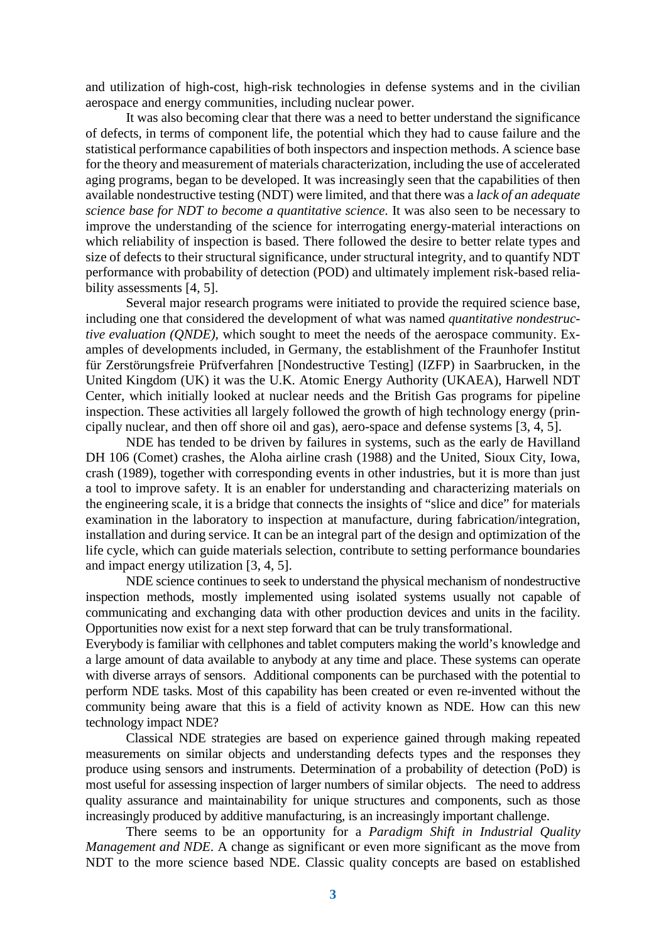and utilization of high-cost, high-risk technologies in defense systems and in the civilian aerospace and energy communities, including nuclear power.

It was also becoming clear that there was a need to better understand the significance of defects, in terms of component life, the potential which they had to cause failure and the statistical performance capabilities of both inspectors and inspection methods. A science base for the theory and measurement of materials characterization, including the use of accelerated aging programs, began to be developed. It was increasingly seen that the capabilities of then available nondestructive testing (NDT) were limited, and that there was a *lack of an adequate science base for NDT to become a quantitative science*. It was also seen to be necessary to improve the understanding of the science for interrogating energy-material interactions on which reliability of inspection is based. There followed the desire to better relate types and size of defects to their structural significance, under structural integrity, and to quantify NDT performance with probability of detection (POD) and ultimately implement risk-based reliability assessments [4, 5].

Several major research programs were initiated to provide the required science base, including one that considered the development of what was named *quantitative nondestructive evaluation (QNDE),* which sought to meet the needs of the aerospace community. Examples of developments included, in Germany, the establishment of the Fraunhofer Institut für Zerstörungsfreie Prüfverfahren [Nondestructive Testing] (IZFP) in Saarbrucken, in the United Kingdom (UK) it was the U.K. Atomic Energy Authority (UKAEA), Harwell NDT Center, which initially looked at nuclear needs and the British Gas programs for pipeline inspection. These activities all largely followed the growth of high technology energy (principally nuclear, and then off shore oil and gas), aero-space and defense systems [3, 4, 5].

NDE has tended to be driven by failures in systems, such as the early de Havilland DH 106 (Comet) crashes, the Aloha airline crash (1988) and the United, Sioux City, Iowa, crash (1989), together with corresponding events in other industries, but it is more than just a tool to improve safety. It is an enabler for understanding and characterizing materials on the engineering scale, it is a bridge that connects the insights of "slice and dice" for materials examination in the laboratory to inspection at manufacture, during fabrication/integration, installation and during service. It can be an integral part of the design and optimization of the life cycle, which can guide materials selection, contribute to setting performance boundaries and impact energy utilization [3, 4, 5].

NDE science continues to seek to understand the physical mechanism of nondestructive inspection methods, mostly implemented using isolated systems usually not capable of communicating and exchanging data with other production devices and units in the facility. Opportunities now exist for a next step forward that can be truly transformational.

Everybody is familiar with cellphones and tablet computers making the world's knowledge and a large amount of data available to anybody at any time and place. These systems can operate with diverse arrays of sensors. Additional components can be purchased with the potential to perform NDE tasks. Most of this capability has been created or even re-invented without the community being aware that this is a field of activity known as NDE. How can this new technology impact NDE?

Classical NDE strategies are based on experience gained through making repeated measurements on similar objects and understanding defects types and the responses they produce using sensors and instruments. Determination of a probability of detection (PoD) is most useful for assessing inspection of larger numbers of similar objects. The need to address quality assurance and maintainability for unique structures and components, such as those increasingly produced by additive manufacturing, is an increasingly important challenge.

There seems to be an opportunity for a *Paradigm Shift in Industrial Quality Management and NDE*. A change as significant or even more significant as the move from NDT to the more science based NDE. Classic quality concepts are based on established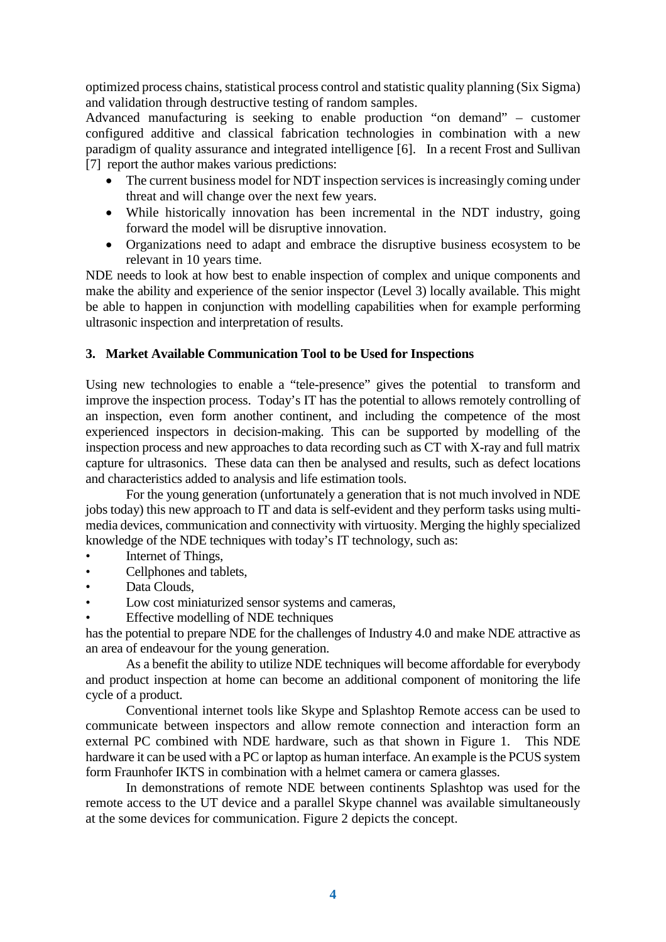optimized process chains, statistical process control and statistic quality planning (Six Sigma) and validation through destructive testing of random samples.

Advanced manufacturing is seeking to enable production "on demand" – customer configured additive and classical fabrication technologies in combination with a new paradigm of quality assurance and integrated intelligence [6]. In a recent Frost and Sullivan [7] report the author makes various predictions:

- The current business model for NDT inspection services is increasingly coming under threat and will change over the next few years.
- While historically innovation has been incremental in the NDT industry, going forward the model will be disruptive innovation.
- Organizations need to adapt and embrace the disruptive business ecosystem to be relevant in 10 years time.

NDE needs to look at how best to enable inspection of complex and unique components and make the ability and experience of the senior inspector (Level 3) locally available. This might be able to happen in conjunction with modelling capabilities when for example performing ultrasonic inspection and interpretation of results.

## **3. Market Available Communication Tool to be Used for Inspections**

Using new technologies to enable a "tele-presence" gives the potential to transform and improve the inspection process. Today's IT has the potential to allows remotely controlling of an inspection, even form another continent, and including the competence of the most experienced inspectors in decision-making. This can be supported by modelling of the inspection process and new approaches to data recording such as CT with X-ray and full matrix capture for ultrasonics. These data can then be analysed and results, such as defect locations and characteristics added to analysis and life estimation tools.

For the young generation (unfortunately a generation that is not much involved in NDE jobs today) this new approach to IT and data is self-evident and they perform tasks using multimedia devices, communication and connectivity with virtuosity. Merging the highly specialized knowledge of the NDE techniques with today's IT technology, such as:

- Internet of Things,
- Cellphones and tablets,
- Data Clouds,
- Low cost miniaturized sensor systems and cameras,
- Effective modelling of NDE techniques

has the potential to prepare NDE for the challenges of Industry 4.0 and make NDE attractive as an area of endeavour for the young generation.

As a benefit the ability to utilize NDE techniques will become affordable for everybody and product inspection at home can become an additional component of monitoring the life cycle of a product.

Conventional internet tools like Skype and Splashtop Remote access can be used to communicate between inspectors and allow remote connection and interaction form an external PC combined with NDE hardware, such as that shown in Figure 1. This NDE hardware it can be used with a PC or laptop as human interface. An example is the PCUS system form Fraunhofer IKTS in combination with a helmet camera or camera glasses.

In demonstrations of remote NDE between continents Splashtop was used for the remote access to the UT device and a parallel Skype channel was available simultaneously at the some devices for communication. Figure 2 depicts the concept.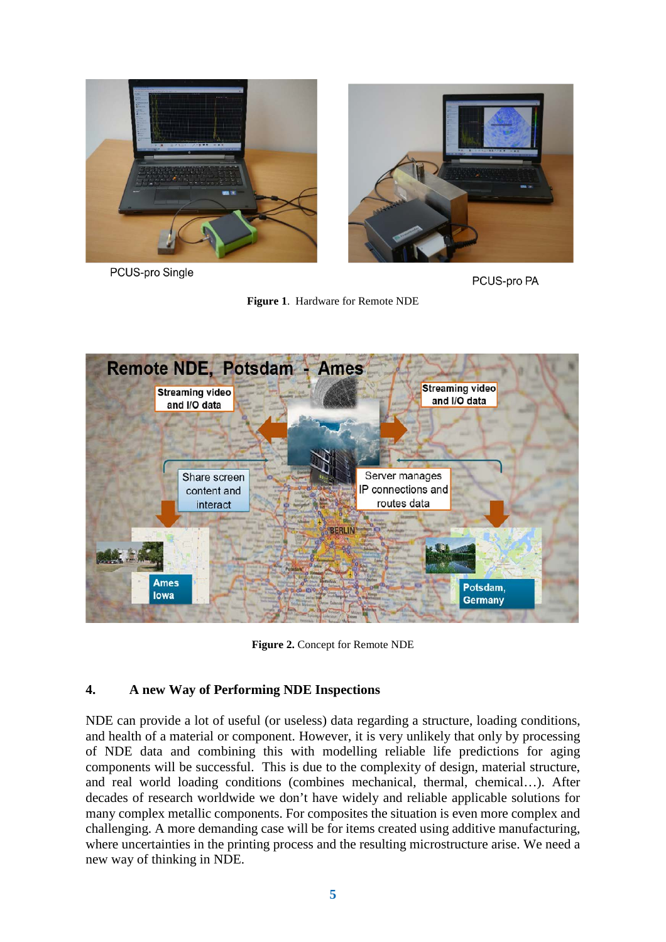





PCUS-pro PA

**Figure 1**. Hardware for Remote NDE



**Figure 2.** Concept for Remote NDE

# **4. A new Way of Performing NDE Inspections**

NDE can provide a lot of useful (or useless) data regarding a structure, loading conditions, and health of a material or component. However, it is very unlikely that only by processing of NDE data and combining this with modelling reliable life predictions for aging components will be successful. This is due to the complexity of design, material structure, and real world loading conditions (combines mechanical, thermal, chemical…). After decades of research worldwide we don't have widely and reliable applicable solutions for many complex metallic components. For composites the situation is even more complex and challenging. A more demanding case will be for items created using additive manufacturing, where uncertainties in the printing process and the resulting microstructure arise. We need a new way of thinking in NDE.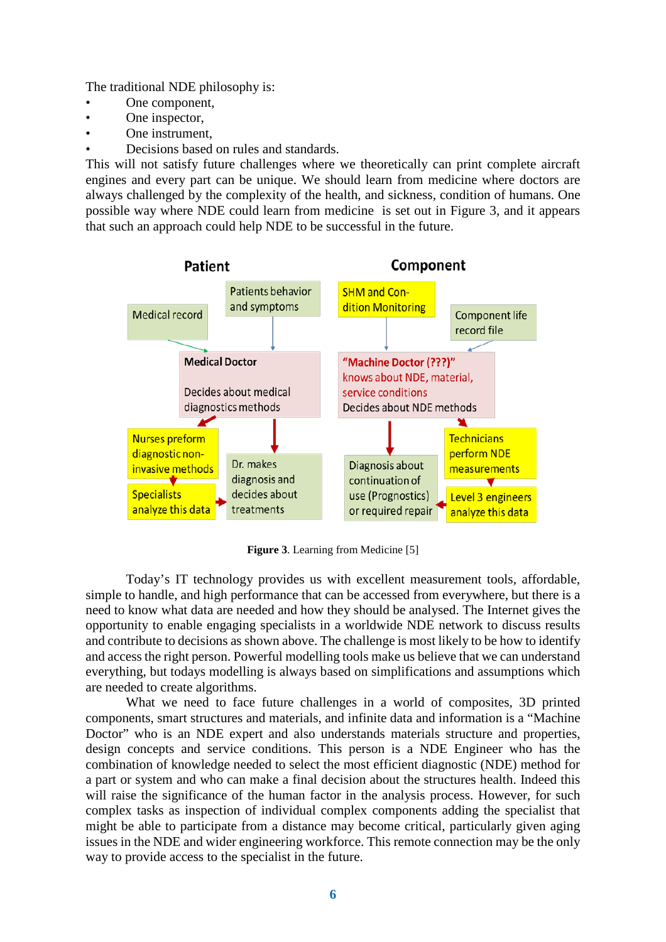The traditional NDE philosophy is:

- One component,
- One inspector,
- One instrument.
- Decisions based on rules and standards.

This will not satisfy future challenges where we theoretically can print complete aircraft engines and every part can be unique. We should learn from medicine where doctors are always challenged by the complexity of the health, and sickness, condition of humans. One possible way where NDE could learn from medicine is set out in Figure 3, and it appears that such an approach could help NDE to be successful in the future.



**Figure 3**. Learning from Medicine [5]

Today's IT technology provides us with excellent measurement tools, affordable, simple to handle, and high performance that can be accessed from everywhere, but there is a need to know what data are needed and how they should be analysed. The Internet gives the opportunity to enable engaging specialists in a worldwide NDE network to discuss results and contribute to decisions as shown above. The challenge is most likely to be how to identify and access the right person. Powerful modelling tools make us believe that we can understand everything, but todays modelling is always based on simplifications and assumptions which are needed to create algorithms.

What we need to face future challenges in a world of composites, 3D printed components, smart structures and materials, and infinite data and information is a "Machine Doctor" who is an NDE expert and also understands materials structure and properties, design concepts and service conditions. This person is a NDE Engineer who has the combination of knowledge needed to select the most efficient diagnostic (NDE) method for a part or system and who can make a final decision about the structures health. Indeed this will raise the significance of the human factor in the analysis process. However, for such complex tasks as inspection of individual complex components adding the specialist that might be able to participate from a distance may become critical, particularly given aging issues in the NDE and wider engineering workforce. This remote connection may be the only way to provide access to the specialist in the future.